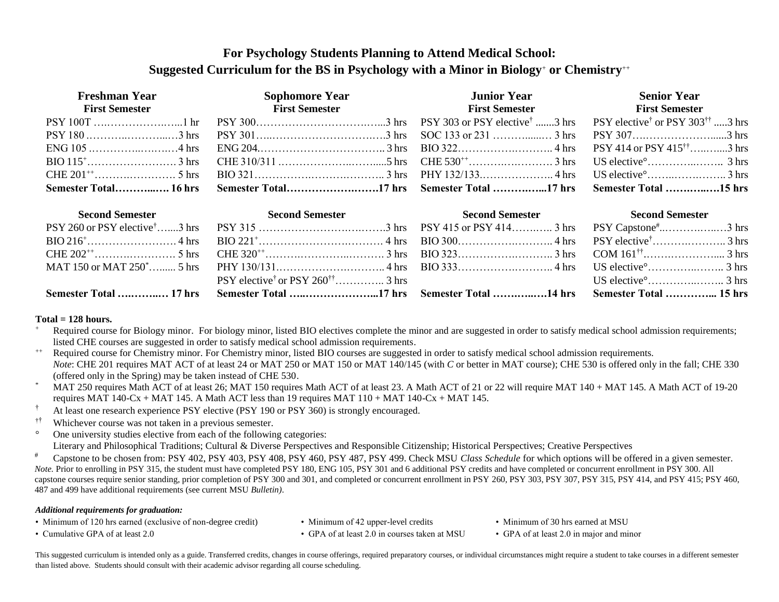# **For Psychology Students Planning to Attend Medical School: Suggested Curriculum for the BS in Psychology with a Minor in Biology**<sup>+</sup> **or Chemistry**++

| <b>Freshman Year</b><br><b>First Semester</b> | <b>Sophomore Year</b><br><b>First Semester</b>                                                                                                                                                                                                                      | <b>Junior Year</b><br><b>First Semester</b> | <b>Senior Year</b><br><b>First Semester</b> |
|-----------------------------------------------|---------------------------------------------------------------------------------------------------------------------------------------------------------------------------------------------------------------------------------------------------------------------|---------------------------------------------|---------------------------------------------|
|                                               | $PSY 100T \dots \dots \dots \dots \dots \dots \dots \dots$ hr PSY 300 $\dots \dots \dots \dots \dots \dots \dots \dots \dots \dots \dots \dots \dots \dots$ hrs PSY 303 or PSY elective <sup>†</sup> 3 hrs PSY elective <sup>†</sup> or PSY 303 <sup>††</sup> 3 hrs |                                             |                                             |
|                                               |                                                                                                                                                                                                                                                                     |                                             |                                             |
|                                               |                                                                                                                                                                                                                                                                     |                                             |                                             |
|                                               |                                                                                                                                                                                                                                                                     |                                             |                                             |
|                                               |                                                                                                                                                                                                                                                                     |                                             |                                             |
|                                               | Semester Total………………16 hrs  Semester Total………………………17 hrs  Semester Total ………………17 hrs  Semester Total ………………15 hrs                                                                                                                                                 |                                             |                                             |

| <b>Second Semester</b> Second Semester | <b>Second Semester</b> Second Semester                              | <b>Second Semester</b> | <b>Second Semester</b>        |
|----------------------------------------|---------------------------------------------------------------------|------------------------|-------------------------------|
|                                        |                                                                     |                        |                               |
|                                        |                                                                     |                        |                               |
|                                        |                                                                     |                        |                               |
|                                        |                                                                     |                        |                               |
|                                        |                                                                     |                        | US elective $\frac{3}{1}$ hrs |
|                                        | Semester Total  17 hrs Semester Total 17 hrs Semester Total  15 hrs |                        |                               |

#### **Total = 128 hours.**

- Required course for Biology minor. For biology minor, listed BIO electives complete the minor and are suggested in order to satisfy medical school admission requirements; listed CHE courses are suggested in order to satisfy medical school admission requirements.
- ++ Required course for Chemistry minor. For Chemistry minor, listed BIO courses are suggested in order to satisfy medical school admission requirements. *Note*: CHE 201 requires MAT ACT of at least 24 or MAT 250 or MAT 150 or MAT 140/145 (with *C* or better in MAT course); CHE 530 is offered only in the fall; CHE 330 (offered only in the Spring) may be taken instead of CHE 530.
- MAT 250 requires Math ACT of at least 26; MAT 150 requires Math ACT of at least 23. A Math ACT of 21 or 22 will require MAT 140 + MAT 145. A Math ACT of 19-20 requires MAT 140-Cx + MAT 145. A Math ACT less than 19 requires MAT 110 + MAT 140-Cx + MAT 145.
- <sup>†</sup> At least one research experience PSY elective (PSY 190 or PSY 360) is strongly encouraged.
- †† Whichever course was not taken in a previous semester.
- ° One university studies elective from each of the following categories: Literary and Philosophical Traditions; Cultural & Diverse Perspectives and Responsible Citizenship; Historical Perspectives; Creative Perspectives
- # Capstone to be chosen from: PSY 402, PSY 403, PSY 408, PSY 460, PSY 487, PSY 499. Check MSU *Class Schedule* for which options will be offered in a given semester. *Note.* Prior to enrolling in PSY 315, the student must have completed PSY 180, ENG 105, PSY 301 and 6 additional PSY credits and have completed or concurrent enrollment in PSY 300. All capstone courses require senior standing, prior completion of PSY 300 and 301, and completed or concurrent enrollment in PSY 260, PSY 303, PSY 307, PSY 315, PSY 414, and PSY 415; PSY 460, 487 and 499 have additional requirements (see current MSU *Bulletin)*.

#### *Additional requirements for graduation:*

- Minimum of 120 hrs earned (exclusive of non-degree credit) Minimum of 42 upper-level credits Minimum of 30 hrs earned at MSU
- 

- 
- Cumulative GPA of at least 2.0 GPA of at least 2.0 in courses taken at MSU GPA of at least 2.0 in major and minor

This suggested curriculum is intended only as a guide. Transferred credits, changes in course offerings, required preparatory courses, or individual circumstances might require a student to take courses in a different seme than listed above. Students should consult with their academic advisor regarding all course scheduling.